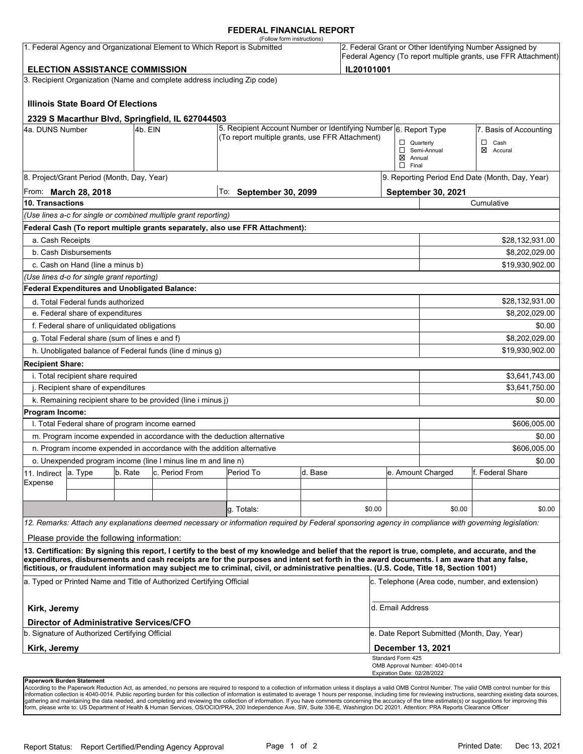#### **FEDERAL FINANCIAL REPORT**

|                                                                                                         |                                                                                           |         | 1. Federal Agency and Organizational Element to Which Report is Submitted | (Follow form instructions)                                                                                                                                                                                                                                                              |         |            |                                                 |                                                 | 2. Federal Grant or Other Identifying Number Assigned by |  |
|---------------------------------------------------------------------------------------------------------|-------------------------------------------------------------------------------------------|---------|---------------------------------------------------------------------------|-----------------------------------------------------------------------------------------------------------------------------------------------------------------------------------------------------------------------------------------------------------------------------------------|---------|------------|-------------------------------------------------|-------------------------------------------------|----------------------------------------------------------|--|
| Federal Agency (To report multiple grants, use FFR Attachment)<br><b>ELECTION ASSISTANCE COMMISSION</b> |                                                                                           |         |                                                                           |                                                                                                                                                                                                                                                                                         |         |            |                                                 |                                                 |                                                          |  |
|                                                                                                         |                                                                                           |         |                                                                           |                                                                                                                                                                                                                                                                                         |         | IL20101001 |                                                 |                                                 |                                                          |  |
|                                                                                                         |                                                                                           |         | 3. Recipient Organization (Name and complete address including Zip code)  |                                                                                                                                                                                                                                                                                         |         |            |                                                 |                                                 |                                                          |  |
|                                                                                                         | <b>Illinois State Board Of Elections</b>                                                  |         |                                                                           |                                                                                                                                                                                                                                                                                         |         |            |                                                 |                                                 |                                                          |  |
|                                                                                                         |                                                                                           |         | 2329 S Macarthur Blvd, Springfield, IL 627044503                          |                                                                                                                                                                                                                                                                                         |         |            |                                                 |                                                 |                                                          |  |
| 4a. DUNS Number                                                                                         |                                                                                           | 4b. EIN |                                                                           | 5. Recipient Account Number or Identifying Number 6. Report Type<br>(To report multiple grants, use FFR Attachment)                                                                                                                                                                     |         |            |                                                 | 7. Basis of Accounting                          |                                                          |  |
|                                                                                                         |                                                                                           |         |                                                                           |                                                                                                                                                                                                                                                                                         |         |            | $\Box$ Quarterly                                | Semi-Annual                                     | $\Box$ Cash<br>$\boxtimes$ Accural                       |  |
|                                                                                                         |                                                                                           |         |                                                                           |                                                                                                                                                                                                                                                                                         |         |            |                                                 | $\boxtimes$ Annual                              |                                                          |  |
|                                                                                                         |                                                                                           |         |                                                                           |                                                                                                                                                                                                                                                                                         |         |            | $\Box$ Final                                    |                                                 |                                                          |  |
|                                                                                                         | 8. Project/Grant Period (Month, Day, Year)                                                |         |                                                                           |                                                                                                                                                                                                                                                                                         |         |            | 9. Reporting Period End Date (Month, Day, Year) |                                                 |                                                          |  |
| 10. Transactions                                                                                        | From: March 28, 2018                                                                      |         |                                                                           | To: September 30, 2099                                                                                                                                                                                                                                                                  |         |            |                                                 | <b>September 30, 2021</b><br>Cumulative         |                                                          |  |
|                                                                                                         |                                                                                           |         |                                                                           |                                                                                                                                                                                                                                                                                         |         |            |                                                 |                                                 |                                                          |  |
|                                                                                                         |                                                                                           |         | (Use lines a-c for single or combined multiple grant reporting)           | Federal Cash (To report multiple grants separately, also use FFR Attachment):                                                                                                                                                                                                           |         |            |                                                 |                                                 |                                                          |  |
| a. Cash Receipts                                                                                        |                                                                                           |         |                                                                           |                                                                                                                                                                                                                                                                                         |         |            |                                                 |                                                 | \$28,132,931.00                                          |  |
|                                                                                                         | b. Cash Disbursements                                                                     |         |                                                                           |                                                                                                                                                                                                                                                                                         |         |            |                                                 |                                                 | \$8,202,029.00                                           |  |
|                                                                                                         | c. Cash on Hand (line a minus b)                                                          |         |                                                                           |                                                                                                                                                                                                                                                                                         |         |            |                                                 |                                                 | \$19,930,902.00                                          |  |
|                                                                                                         |                                                                                           |         |                                                                           |                                                                                                                                                                                                                                                                                         |         |            |                                                 |                                                 |                                                          |  |
|                                                                                                         | (Use lines d-o for single grant reporting)                                                |         | <b>Federal Expenditures and Unobligated Balance:</b>                      |                                                                                                                                                                                                                                                                                         |         |            |                                                 |                                                 |                                                          |  |
|                                                                                                         | d. Total Federal funds authorized                                                         |         |                                                                           |                                                                                                                                                                                                                                                                                         |         |            |                                                 |                                                 | \$28,132,931.00                                          |  |
|                                                                                                         | e. Federal share of expenditures                                                          |         |                                                                           |                                                                                                                                                                                                                                                                                         |         |            |                                                 |                                                 | \$8,202,029.00                                           |  |
|                                                                                                         | f. Federal share of unliquidated obligations                                              |         |                                                                           |                                                                                                                                                                                                                                                                                         |         |            |                                                 |                                                 | \$0.00                                                   |  |
|                                                                                                         | g. Total Federal share (sum of lines e and f)                                             |         |                                                                           |                                                                                                                                                                                                                                                                                         |         |            |                                                 |                                                 | \$8,202,029.00                                           |  |
|                                                                                                         |                                                                                           |         | h. Unobligated balance of Federal funds (line d minus g)                  |                                                                                                                                                                                                                                                                                         |         |            |                                                 |                                                 | \$19,930,902.00                                          |  |
| <b>Recipient Share:</b>                                                                                 |                                                                                           |         |                                                                           |                                                                                                                                                                                                                                                                                         |         |            |                                                 |                                                 |                                                          |  |
|                                                                                                         | i. Total recipient share required                                                         |         |                                                                           |                                                                                                                                                                                                                                                                                         |         |            |                                                 |                                                 | \$3,641,743.00                                           |  |
|                                                                                                         | j. Recipient share of expenditures                                                        |         |                                                                           |                                                                                                                                                                                                                                                                                         |         |            |                                                 |                                                 | \$3,641,750.00                                           |  |
|                                                                                                         |                                                                                           |         | k. Remaining recipient share to be provided (line i minus j)              |                                                                                                                                                                                                                                                                                         |         |            |                                                 |                                                 | \$0.00                                                   |  |
| Program Income:                                                                                         |                                                                                           |         |                                                                           |                                                                                                                                                                                                                                                                                         |         |            |                                                 |                                                 |                                                          |  |
|                                                                                                         | I. Total Federal share of program income earned                                           |         |                                                                           |                                                                                                                                                                                                                                                                                         |         |            |                                                 |                                                 | \$606,005.00                                             |  |
|                                                                                                         |                                                                                           |         |                                                                           | m. Program income expended in accordance with the deduction alternative                                                                                                                                                                                                                 |         |            |                                                 |                                                 | \$0.00                                                   |  |
|                                                                                                         |                                                                                           |         | n. Program income expended in accordance with the addition alternative    |                                                                                                                                                                                                                                                                                         |         |            |                                                 |                                                 | \$606,005.00                                             |  |
|                                                                                                         |                                                                                           |         | o. Unexpended program income (line I minus line m and line n)             |                                                                                                                                                                                                                                                                                         |         |            |                                                 |                                                 | \$0.00                                                   |  |
| 11. Indirect                                                                                            | a. Type                                                                                   | b. Rate | c. Period From                                                            | Period To                                                                                                                                                                                                                                                                               | d. Base |            |                                                 | e. Amount Charged                               | f. Federal Share                                         |  |
| Expense                                                                                                 |                                                                                           |         |                                                                           |                                                                                                                                                                                                                                                                                         |         |            |                                                 |                                                 |                                                          |  |
|                                                                                                         |                                                                                           |         |                                                                           |                                                                                                                                                                                                                                                                                         |         |            |                                                 |                                                 |                                                          |  |
|                                                                                                         |                                                                                           |         |                                                                           | g. Totals:                                                                                                                                                                                                                                                                              |         | \$0.00     |                                                 | \$0.00                                          | \$0.00                                                   |  |
|                                                                                                         |                                                                                           |         |                                                                           | 12. Remarks: Attach any explanations deemed necessary or information required by Federal sponsoring agency in compliance with governing legislation:                                                                                                                                    |         |            |                                                 |                                                 |                                                          |  |
|                                                                                                         | Please provide the following information:                                                 |         |                                                                           |                                                                                                                                                                                                                                                                                         |         |            |                                                 |                                                 |                                                          |  |
|                                                                                                         |                                                                                           |         |                                                                           | 13. Certification: By signing this report, I certify to the best of my knowledge and belief that the report is true, complete, and accurate, and the                                                                                                                                    |         |            |                                                 |                                                 |                                                          |  |
|                                                                                                         |                                                                                           |         |                                                                           | expenditures, disbursements and cash receipts are for the purposes and intent set forth in the award documents. I am aware that any false,<br>fictitious, or fraudulent information may subject me to criminal, civil, or administrative penalties. (U.S. Code, Title 18, Section 1001) |         |            |                                                 |                                                 |                                                          |  |
| a. Typed or Printed Name and Title of Authorized Certifying Official                                    |                                                                                           |         |                                                                           |                                                                                                                                                                                                                                                                                         |         |            |                                                 | c. Telephone (Area code, number, and extension) |                                                          |  |
| Kirk, Jeremy                                                                                            |                                                                                           |         |                                                                           |                                                                                                                                                                                                                                                                                         |         |            | d. Email Address                                |                                                 |                                                          |  |
|                                                                                                         | Director of Administrative Services/CFO<br>b. Signature of Authorized Certifying Official |         |                                                                           |                                                                                                                                                                                                                                                                                         |         |            |                                                 | e. Date Report Submitted (Month, Day, Year)     |                                                          |  |
| Kirk, Jeremy                                                                                            |                                                                                           |         |                                                                           |                                                                                                                                                                                                                                                                                         |         |            |                                                 |                                                 |                                                          |  |
|                                                                                                         |                                                                                           |         |                                                                           |                                                                                                                                                                                                                                                                                         |         |            | <b>December 13, 2021</b><br>Standard Form 425   |                                                 |                                                          |  |
|                                                                                                         |                                                                                           |         |                                                                           |                                                                                                                                                                                                                                                                                         |         |            | Expiration Date: 02/28/2022                     | OMB Approval Number: 4040-0014                  |                                                          |  |
| <b>Danonuork Burdon Statement</b>                                                                       |                                                                                           |         |                                                                           |                                                                                                                                                                                                                                                                                         |         |            |                                                 |                                                 |                                                          |  |

**Paperwork Burden Statement**<br>According to the Paperwork Reduction Act, as amended, no persons are required to respond to a collection of information unless it displays a valid OMB Control Number. The valid OMB control numb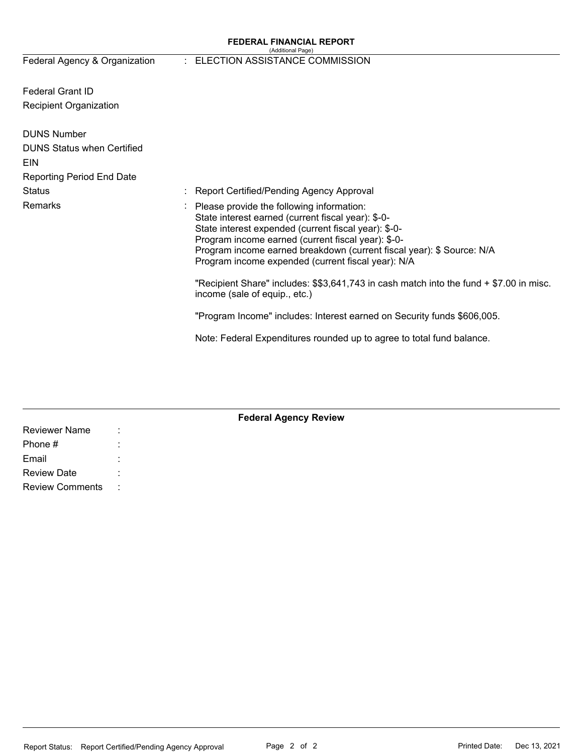#### **FEDERAL FINANCIAL REPORT**  (Additional Page)

# Federal Agency & Organization : ELECTION ASSISTANCE COMMISSION

| <b>Federal Grant ID</b>           |  |                                                                                                                                                                                                                                                                                                                                                           |
|-----------------------------------|--|-----------------------------------------------------------------------------------------------------------------------------------------------------------------------------------------------------------------------------------------------------------------------------------------------------------------------------------------------------------|
| <b>Recipient Organization</b>     |  |                                                                                                                                                                                                                                                                                                                                                           |
| <b>DUNS Number</b>                |  |                                                                                                                                                                                                                                                                                                                                                           |
| <b>DUNS Status when Certified</b> |  |                                                                                                                                                                                                                                                                                                                                                           |
| <b>EIN</b>                        |  |                                                                                                                                                                                                                                                                                                                                                           |
| <b>Reporting Period End Date</b>  |  |                                                                                                                                                                                                                                                                                                                                                           |
| Status                            |  | : Report Certified/Pending Agency Approval                                                                                                                                                                                                                                                                                                                |
| Remarks                           |  | $\therefore$ Please provide the following information:<br>State interest earned (current fiscal year): \$-0-<br>State interest expended (current fiscal year): \$-0-<br>Program income earned (current fiscal year): \$-0-<br>Program income earned breakdown (current fiscal year): \$ Source: N/A<br>Program income expended (current fiscal year): N/A |
|                                   |  | "Recipient Share" includes: \$\$3,641,743 in cash match into the fund + \$7.00 in misc.<br>income (sale of equip., etc.)                                                                                                                                                                                                                                  |
|                                   |  | "Program Income" includes: Interest earned on Security funds \$606,005.                                                                                                                                                                                                                                                                                   |
|                                   |  | Note: Federal Expenditures rounded up to agree to total fund balance.                                                                                                                                                                                                                                                                                     |

| <b>Federal Agency Review</b> |      |  |  |  |  |  |  |
|------------------------------|------|--|--|--|--|--|--|
| <b>Reviewer Name</b>         | ÷    |  |  |  |  |  |  |
| Phone #                      | ٠    |  |  |  |  |  |  |
| Email                        |      |  |  |  |  |  |  |
| <b>Review Date</b>           | ٠    |  |  |  |  |  |  |
| <b>Review Comments</b>       | - 11 |  |  |  |  |  |  |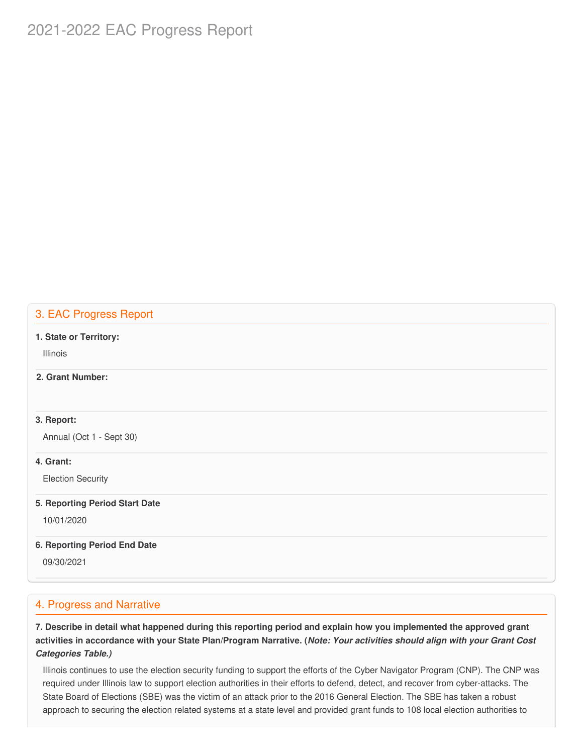# 2021-2022 EAC Progress Report

# 3. EAC Progress Report

#### **1. State or Territory:**

Illinois

### **2. Grant Number:**

#### **3. Report:**

Annual (Oct 1 - Sept 30)

#### **4. Grant:**

Election Security

#### **5. Reporting Period Start Date**

10/01/2020

#### **6. Reporting Period End Date**

09/30/2021

### 4. Progress and Narrative

7. Describe in detail what happened during this reporting period and explain how you implemented the approved grant activities in accordance with your State Plan/Program Narrative. (*Note: Your activities should align with your Grant Cost Categories Table.)*

 Illinois continues to use the election security funding to support the efforts of the Cyber Navigator Program (CNP). The CNP was required under Illinois law to support election authorities in their efforts to defend, detect, and recover from cyber-attacks. The State Board of Elections (SBE) was the victim of an attack prior to the 2016 General Election. The SBE has taken a robust approach to securing the election related systems at a state level and provided grant funds to 108 local election authorities to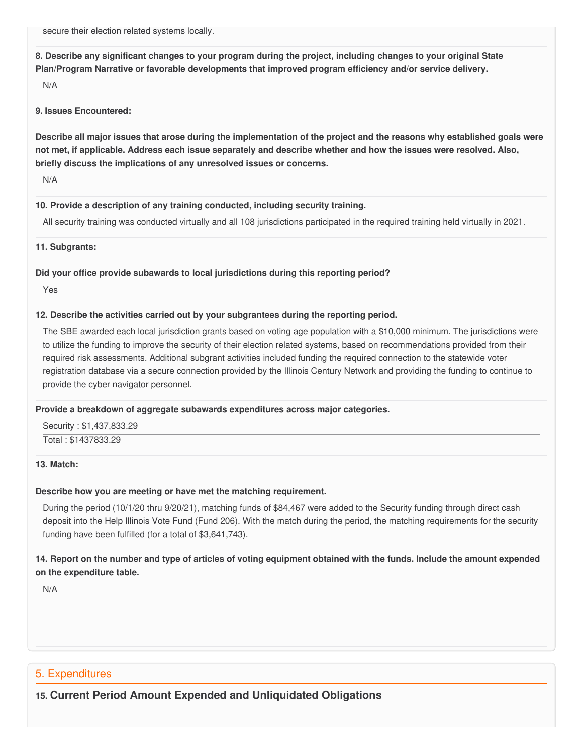secure their election related systems locally.

8. Describe any significant changes to your program during the project, including changes to your original State  **Plan/Program Narrative or favorable developments that improved program efficiency and/or service delivery.**

N/A

#### **9. Issues Encountered:**

Describe all major issues that arose during the implementation of the project and the reasons why established goals were not met, if applicable. Address each issue separately and describe whether and how the issues were resolved. Also,  **briefly discuss the implications of any unresolved issues or concerns.**

N/A

#### **10. Provide a description of any training conducted, including security training.**

All security training was conducted virtually and all 108 jurisdictions participated in the required training held virtually in 2021.

**11. Subgrants:**

#### **Did your office provide subawards to local jurisdictions during this reporting period?**

Yes

#### **12. Describe the activities carried out by your subgrantees during the reporting period.**

 The SBE awarded each local jurisdiction grants based on voting age population with a \$10,000 minimum. The jurisdictions were to utilize the funding to improve the security of their election related systems, based on recommendations provided from their required risk assessments. Additional subgrant activities included funding the required connection to the statewide voter registration database via a secure connection provided by the Illinois Century Network and providing the funding to continue to provide the cyber navigator personnel.

#### **Provide a breakdown of aggregate subawards expenditures across major categories.**

 Security : \$[1,437,833.29](https://1,437,833.29) Total : [\\$1437833.29](https://1437833.29)

#### **13. Match:**

#### **Describe how you are meeting or have met the matching requirement.**

 During the period (10/1/20 thru 9/20/21), matching funds of \$84,467 were added to the Security funding through direct cash deposit into the Help Illinois Vote Fund (Fund 206). With the match during the period, the matching requirements for the security funding have been fulfilled (for a total of \$3,641,743).

### 14. Report on the number and type of articles of voting equipment obtained with the funds. Include the amount expended  **on the expenditure table.**

N/A

# 5. Expenditures

# **15. Current Period Amount Expended and Unliquidated Obligations**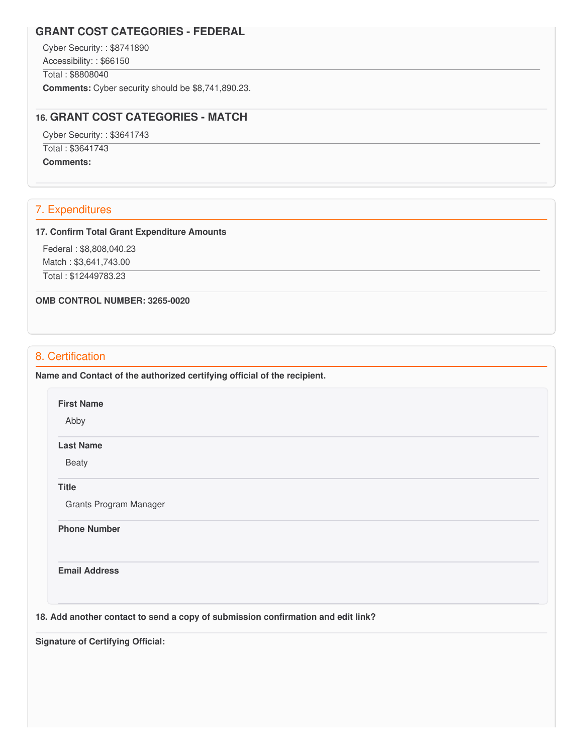### **GRANT COST CATEGORIES - FEDERAL**

Cyber Security: : \$8741890

Accessibility: : \$66150

Total : \$8808040

**Comments:** Cyber security should be [\\$8,741,890.23](https://8,741,890.23).

### **16. GRANT COST CATEGORIES - MATCH**

Cyber Security: : \$3641743

Total : \$3641743

**Comments:**

## 7. Expenditures

#### **17. Confirm Total Grant Expenditure Amounts**

 Federal : \$[8,808,040.23](https://8,808,040.23) Match : \$[3,641,743.00](https://3,641,743.00)

Total : [\\$12449783.23](https://12449783.23)

 **OMB CONTROL NUMBER: 3265-0020**

## 8. Certification

 **Name and Contact of the authorized certifying official of the recipient.**

**First Name**

Abby

### **Last Name**

Beaty

**Title**

Grants Program Manager

**Phone Number** 

**Email Address**

 **18. Add another contact to send a copy of submission confirmation and edit link?**

 **Signature of Certifying Official:**